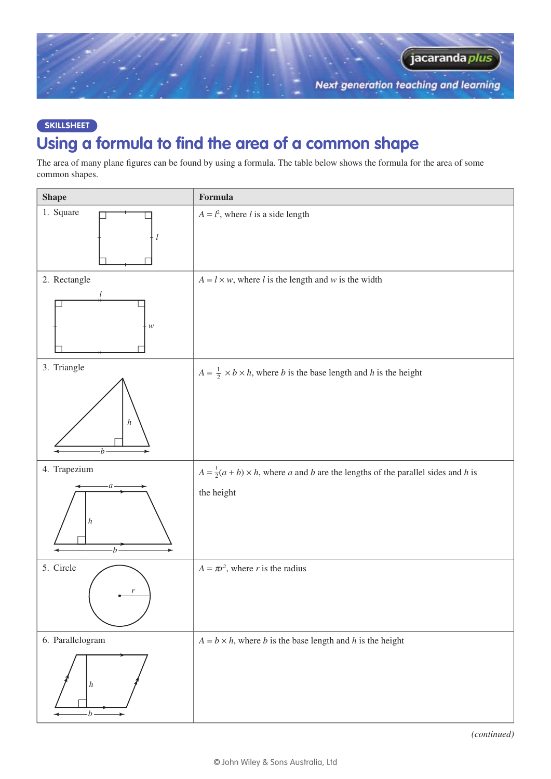

## **SkillSHEET Using a formula to find the area of a common shape**

The area of many plane figures can be found by using a formula. The table below shows the formula for the area of some common shapes.

| <b>Shape</b>         | Formula                                                                                            |
|----------------------|----------------------------------------------------------------------------------------------------|
| 1. Square<br>$\iota$ | $A = l2$ , where <i>l</i> is a side length                                                         |
| 2. Rectangle         | $A = l \times w$ , where l is the length and w is the width                                        |
| ${\mathcal W}$       |                                                                                                    |
| 3. Triangle          | $A = \frac{1}{2} \times b \times h$ , where <i>b</i> is the base length and <i>h</i> is the height |
| $\boldsymbol{h}$     |                                                                                                    |
| 4. Trapezium         | $A = \frac{1}{2}(a+b) \times h$ , where a and b are the lengths of the parallel sides and h is     |
| $\boldsymbol{h}$     | the height                                                                                         |
| 5. Circle            | $A = \pi r^2$ , where r is the radius                                                              |
| r                    |                                                                                                    |
| 6. Parallelogram     | $A = b \times h$ , where <i>b</i> is the base length and <i>h</i> is the height                    |
| $\vert h \vert$      |                                                                                                    |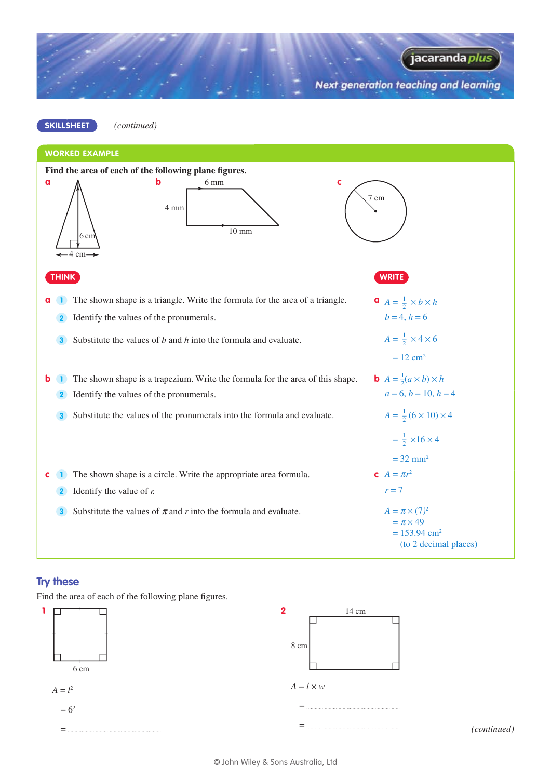Next generation teaching and learning

jacaranda *plus* 



#### **Try these**

Find the area of each of the following plane figures.

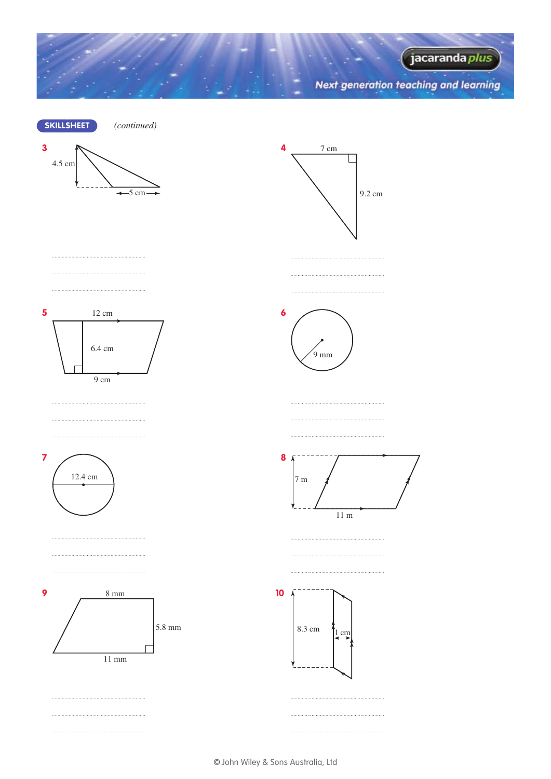